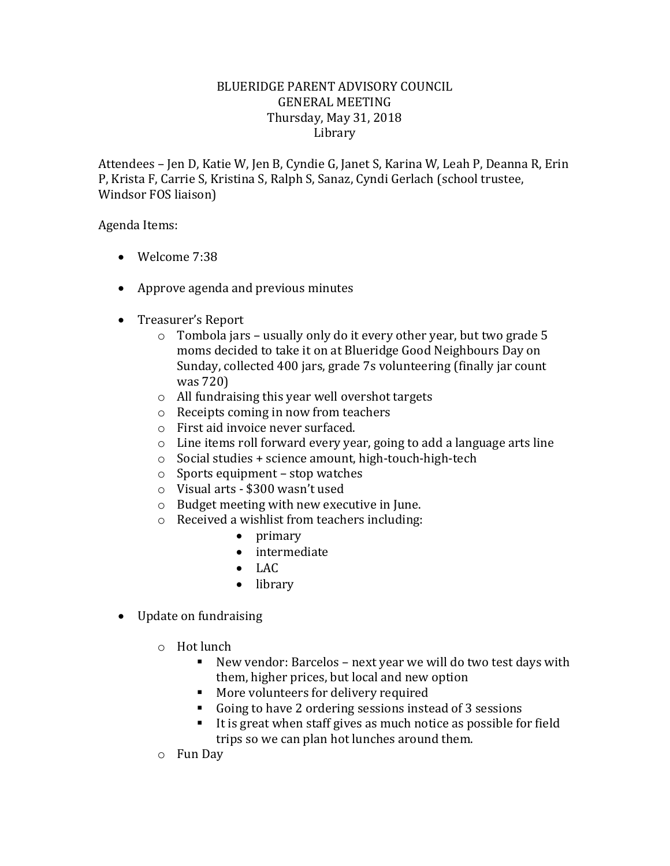## BLUERIDGE PARENT ADVISORY COUNCIL GENERAL MEETING Thursday, May 31, 2018 Library

Attendees – Jen D, Katie W, Jen B, Cyndie G, Janet S, Karina W, Leah P, Deanna R, Erin P, Krista F, Carrie S, Kristina S, Ralph S, Sanaz, Cyndi Gerlach (school trustee, Windsor FOS liaison)

Agenda Items:

- Welcome 7:38
- Approve agenda and previous minutes
- Treasurer's Report
	- o Tombola jars usually only do it every other year, but two grade 5 moms decided to take it on at Blueridge Good Neighbours Day on Sunday, collected 400 jars, grade 7s volunteering (finally jar count was 720)
	- o All fundraising this year well overshot targets
	- o Receipts coming in now from teachers
	- o First aid invoice never surfaced.
	- o Line items roll forward every year, going to add a language arts line
	- o Social studies + science amount, high-touch-high-tech
	- $\circ$  Sports equipment stop watches
	- o Visual arts \$300 wasn't used
	- o Budget meeting with new executive in June.
	- o Received a wishlist from teachers including:
		- primary
		- intermediate
		- $\bullet$  LAC
		- library
- Update on fundraising
	- o Hot lunch
		- New vendor: Barcelos next year we will do two test days with them, higher prices, but local and new option
		- **More volunteers for delivery required**
		- Going to have 2 ordering sessions instead of 3 sessions
		- $\blacksquare$  It is great when staff gives as much notice as possible for field trips so we can plan hot lunches around them.
	- o Fun Day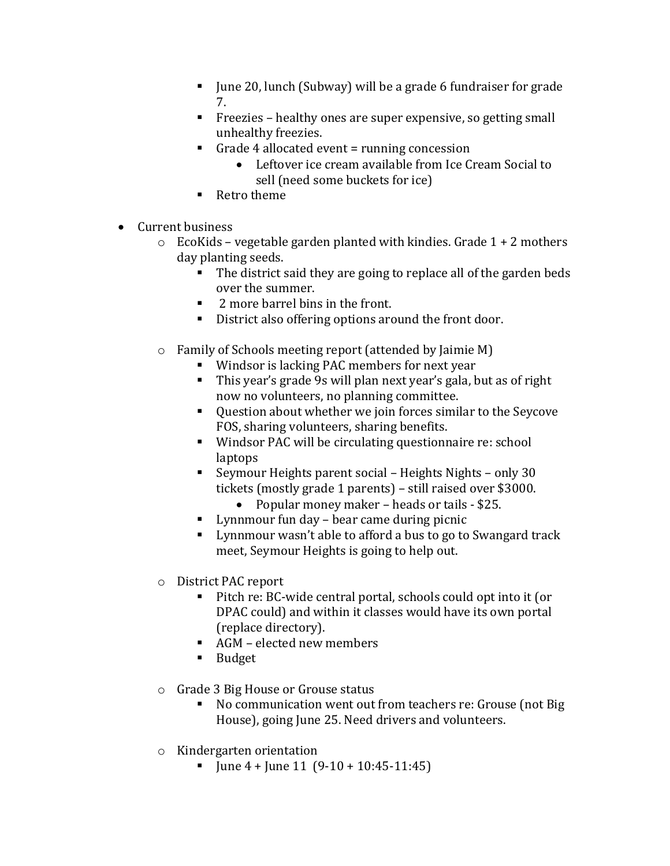- June 20, lunch (Subway) will be a grade 6 fundraiser for grade 7.
- Freezies healthy ones are super expensive, so getting small unhealthy freezies.
- Grade 4 allocated event  $=$  running concession
	- Leftover ice cream available from Ice Cream Social to sell (need some buckets for ice)
- Retro theme
- Current business
	- $\circ$  EcoKids vegetable garden planted with kindies. Grade 1 + 2 mothers day planting seeds.
		- The district said they are going to replace all of the garden beds over the summer.
		- 2 more barrel bins in the front.
		- District also offering options around the front door.
	- o Family of Schools meeting report (attended by Jaimie M)
		- Windsor is lacking PAC members for next year
		- This year's grade 9s will plan next year's gala, but as of right now no volunteers, no planning committee.
		- Question about whether we join forces similar to the Seycove FOS, sharing volunteers, sharing benefits.
		- Windsor PAC will be circulating questionnaire re: school laptops
		- Seymour Heights parent social Heights Nights only 30 tickets (mostly grade 1 parents) – still raised over \$3000.
			- Popular money maker heads or tails \$25.
		- Lynnmour fun day bear came during picnic
		- **EXECUTE:** Lynnmour wasn't able to afford a bus to go to Swangard track meet, Seymour Heights is going to help out.
	- o District PAC report
		- Pitch re: BC-wide central portal, schools could opt into it (or DPAC could) and within it classes would have its own portal (replace directory).
		- AGM elected new members
		- **Budget**
	- o Grade 3 Big House or Grouse status
		- No communication went out from teachers re: Grouse (not Big House), going June 25. Need drivers and volunteers.
	- o Kindergarten orientation
		- $\blacksquare$  June 4 + June 11 (9-10 + 10:45-11:45)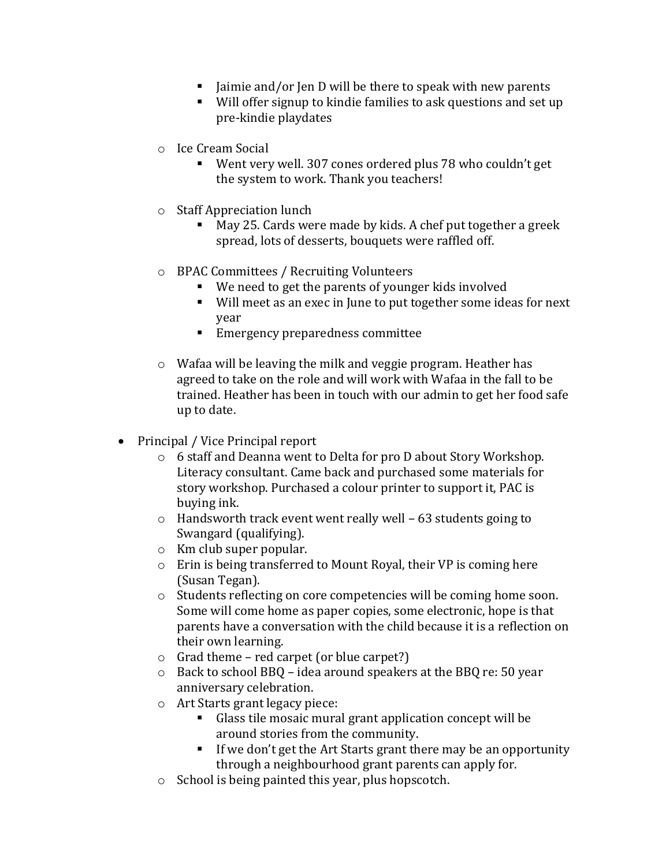- $\blacksquare$  Jaimie and/or Jen D will be there to speak with new parents
- Will offer signup to kindie families to ask questions and set up pre-kindie playdates
- o Ice Cream Social
	- Went very well. 307 cones ordered plus 78 who couldn't get the system to work. Thank you teachers!
- o Staff Appreciation lunch
	- May 25. Cards were made by kids. A chef put together a greek spread, lots of desserts, bouquets were raffled off.
- o BPAC Committees / Recruiting Volunteers
	- We need to get the parents of younger kids involved
	- Will meet as an exec in June to put together some ideas for next year
	- Emergency preparedness committee
- o Wafaa will be leaving the milk and veggie program. Heather has agreed to take on the role and will work with Wafaa in the fall to be trained. Heather has been in touch with our admin to get her food safe up to date.
- Principal / Vice Principal report
	- o 6 staff and Deanna went to Delta for pro D about Story Workshop. Literacy consultant. Came back and purchased some materials for story workshop. Purchased a colour printer to support it, PAC is buying ink.
	- o Handsworth track event went really well 63 students going to Swangard (qualifying).
	- o Km club super popular.
	- o Erin is being transferred to Mount Royal, their VP is coming here (Susan Tegan).
	- o Students reflecting on core competencies will be coming home soon. Some will come home as paper copies, some electronic, hope is that parents have a conversation with the child because it is a reflection on their own learning.
	- $\circ$  Grad theme red carpet (or blue carpet?)
	- o Back to school BBQ idea around speakers at the BBQ re: 50 year anniversary celebration.
	- o Art Starts grant legacy piece:
		- Glass tile mosaic mural grant application concept will be around stories from the community.
		- If we don't get the Art Starts grant there may be an opportunity through a neighbourhood grant parents can apply for.
	- o School is being painted this year, plus hopscotch.